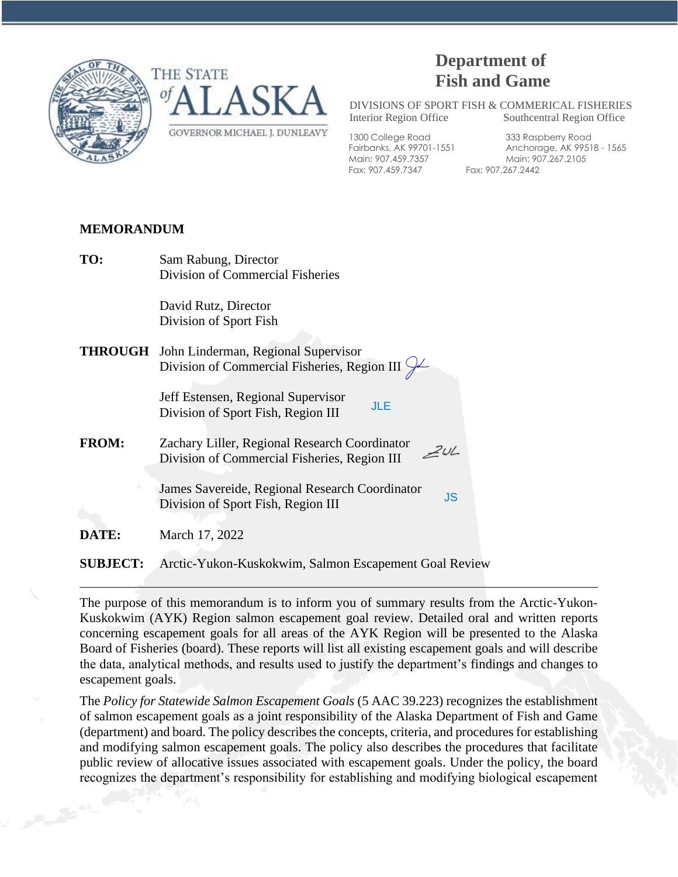



# **Department of Fish and Game**

DIVISIONS OF SPORT FISH & COMMERICAL FISHERIES Interior Region Office Southcentral Region Office

1300 College Road 333 Raspberry Road Main: 907.459.7357 Fax: 907.459.7347 Fax: 907.267.2442

JLE

JS

Fairbanks, AK 99701-1551 Anchorage, AK 99518 - 1565

### **MEMORANDUM**

**TO:** Sam Rabung, Director Division of Commercial Fisheries

> David Rutz, Director Division of Sport Fish

**THROUGH** John Linderman, Regional Supervisor Division of Commercial Fisheries, Region III  $\mathcal{V}$ 

> Jeff Estensen, Regional Supervisor Division of Sport Fish, Region III

**FROM:** Zachary Liller, Regional Research Coordinator  $2\nu$ L Division of Commercial Fisheries, Region III

> James Savereide, Regional Research Coordinator Division of Sport Fish, Region III

**DATE:** March 17, 2022

**SUBJECT:** Arctic-Yukon-Kuskokwim, Salmon Escapement Goal Review

The purpose of this memorandum is to inform you of summary results from the Arctic-Yukon-Kuskokwim (AYK) Region salmon escapement goal review. Detailed oral and written reports concerning escapement goals for all areas of the AYK Region will be presented to the Alaska Board of Fisheries (board). These reports will list all existing escapement goals and will describe the data, analytical methods, and results used to justify the department's findings and changes to escapement goals.

The *Policy for Statewide Salmon Escapement Goals* (5 AAC 39.223) recognizes the establishment of salmon escapement goals as a joint responsibility of the Alaska Department of Fish and Game (department) and board. The policy describes the concepts, criteria, and procedures for establishing and modifying salmon escapement goals. The policy also describes the procedures that facilitate public review of allocative issues associated with escapement goals. Under the policy, the board recognizes the department's responsibility for establishing and modifying biological escapement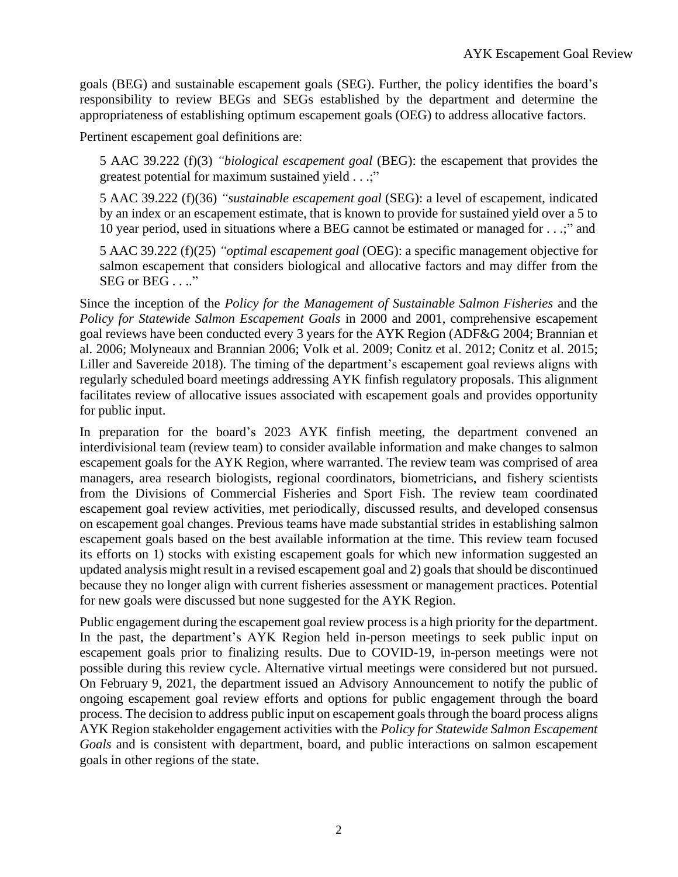goals (BEG) and sustainable escapement goals (SEG). Further, the policy identifies the board's responsibility to review BEGs and SEGs established by the department and determine the appropriateness of establishing optimum escapement goals (OEG) to address allocative factors.

Pertinent escapement goal definitions are:

5 AAC 39.222 (f)(3) *"biological escapement goal* (BEG): the escapement that provides the greatest potential for maximum sustained yield . . .;"

5 AAC 39.222 (f)(36) *"sustainable escapement goal* (SEG): a level of escapement, indicated by an index or an escapement estimate, that is known to provide for sustained yield over a 5 to 10 year period, used in situations where a BEG cannot be estimated or managed for . . .;" and

5 AAC 39.222 (f)(25) *"optimal escapement goal* (OEG): a specific management objective for salmon escapement that considers biological and allocative factors and may differ from the SEG or BEG . . .."

Since the inception of the *Policy for the Management of Sustainable Salmon Fisheries* and the *Policy for Statewide Salmon Escapement Goals* in 2000 and 2001, comprehensive escapement goal reviews have been conducted every 3 years for the AYK Region (ADF&G 2004; Brannian et al. 2006; Molyneaux and Brannian 2006; Volk et al. 2009; Conitz et al. 2012; Conitz et al. 2015; Liller and Savereide 2018). The timing of the department's escapement goal reviews aligns with regularly scheduled board meetings addressing AYK finfish regulatory proposals. This alignment facilitates review of allocative issues associated with escapement goals and provides opportunity for public input.

In preparation for the board's 2023 AYK finfish meeting, the department convened an interdivisional team (review team) to consider available information and make changes to salmon escapement goals for the AYK Region, where warranted. The review team was comprised of area managers, area research biologists, regional coordinators, biometricians, and fishery scientists from the Divisions of Commercial Fisheries and Sport Fish. The review team coordinated escapement goal review activities, met periodically, discussed results, and developed consensus on escapement goal changes. Previous teams have made substantial strides in establishing salmon escapement goals based on the best available information at the time. This review team focused its efforts on 1) stocks with existing escapement goals for which new information suggested an updated analysis might result in a revised escapement goal and 2) goals that should be discontinued because they no longer align with current fisheries assessment or management practices. Potential for new goals were discussed but none suggested for the AYK Region.

Public engagement during the escapement goal review process is a high priority for the department. In the past, the department's AYK Region held in-person meetings to seek public input on escapement goals prior to finalizing results. Due to COVID-19, in-person meetings were not possible during this review cycle. Alternative virtual meetings were considered but not pursued. On February 9, 2021, the department issued an Advisory Announcement to notify the public of ongoing escapement goal review efforts and options for public engagement through the board process. The decision to address public input on escapement goals through the board process aligns AYK Region stakeholder engagement activities with the *Policy for Statewide Salmon Escapement Goals* and is consistent with department, board, and public interactions on salmon escapement goals in other regions of the state.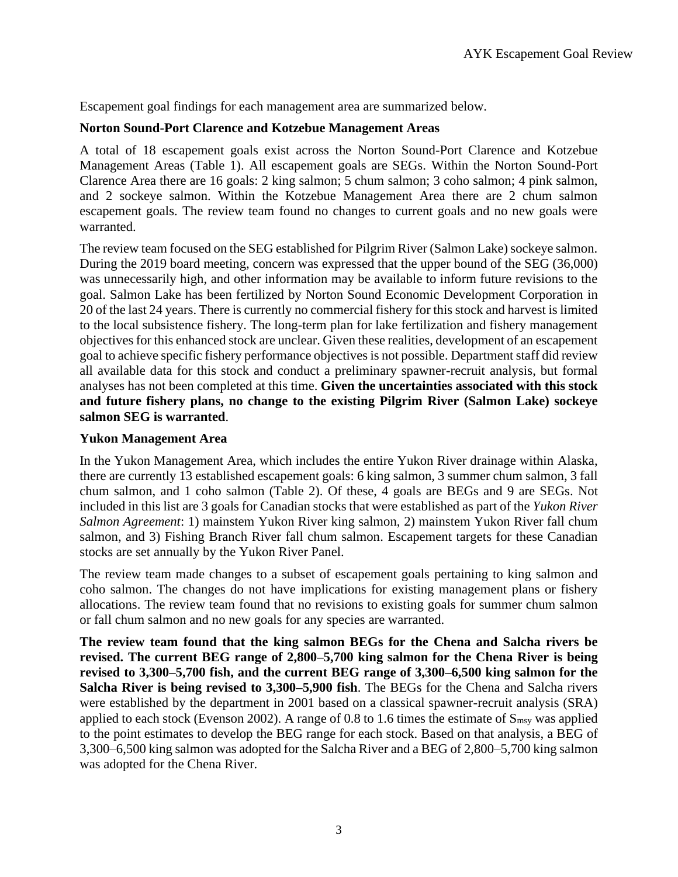Escapement goal findings for each management area are summarized below.

#### **Norton Sound-Port Clarence and Kotzebue Management Areas**

A total of 18 escapement goals exist across the Norton Sound-Port Clarence and Kotzebue Management Areas (Table 1). All escapement goals are SEGs. Within the Norton Sound-Port Clarence Area there are 16 goals: 2 king salmon; 5 chum salmon; 3 coho salmon; 4 pink salmon, and 2 sockeye salmon. Within the Kotzebue Management Area there are 2 chum salmon escapement goals. The review team found no changes to current goals and no new goals were warranted.

The review team focused on the SEG established for Pilgrim River (Salmon Lake) sockeye salmon. During the 2019 board meeting, concern was expressed that the upper bound of the SEG (36,000) was unnecessarily high, and other information may be available to inform future revisions to the goal. Salmon Lake has been fertilized by Norton Sound Economic Development Corporation in 20 of the last 24 years. There is currently no commercial fishery for this stock and harvest is limited to the local subsistence fishery. The long-term plan for lake fertilization and fishery management objectives for this enhanced stock are unclear. Given these realities, development of an escapement goal to achieve specific fishery performance objectives is not possible. Department staff did review all available data for this stock and conduct a preliminary spawner-recruit analysis, but formal analyses has not been completed at this time. **Given the uncertainties associated with this stock and future fishery plans, no change to the existing Pilgrim River (Salmon Lake) sockeye salmon SEG is warranted**.

#### **Yukon Management Area**

In the Yukon Management Area, which includes the entire Yukon River drainage within Alaska, there are currently 13 established escapement goals: 6 king salmon, 3 summer chum salmon, 3 fall chum salmon, and 1 coho salmon (Table 2). Of these, 4 goals are BEGs and 9 are SEGs. Not included in this list are 3 goals for Canadian stocks that were established as part of the *Yukon River Salmon Agreement*: 1) mainstem Yukon River king salmon, 2) mainstem Yukon River fall chum salmon, and 3) Fishing Branch River fall chum salmon. Escapement targets for these Canadian stocks are set annually by the Yukon River Panel.

The review team made changes to a subset of escapement goals pertaining to king salmon and coho salmon. The changes do not have implications for existing management plans or fishery allocations. The review team found that no revisions to existing goals for summer chum salmon or fall chum salmon and no new goals for any species are warranted.

**The review team found that the king salmon BEGs for the Chena and Salcha rivers be revised. The current BEG range of 2,800–5,700 king salmon for the Chena River is being revised to 3,300–5,700 fish, and the current BEG range of 3,300–6,500 king salmon for the Salcha River is being revised to 3,300–5,900 fish**. The BEGs for the Chena and Salcha rivers were established by the department in 2001 based on a classical spawner-recruit analysis (SRA) applied to each stock (Evenson 2002). A range of 0.8 to 1.6 times the estimate of  $S_{\text{msy}}$  was applied to the point estimates to develop the BEG range for each stock. Based on that analysis, a BEG of 3,300–6,500 king salmon was adopted for the Salcha River and a BEG of 2,800–5,700 king salmon was adopted for the Chena River.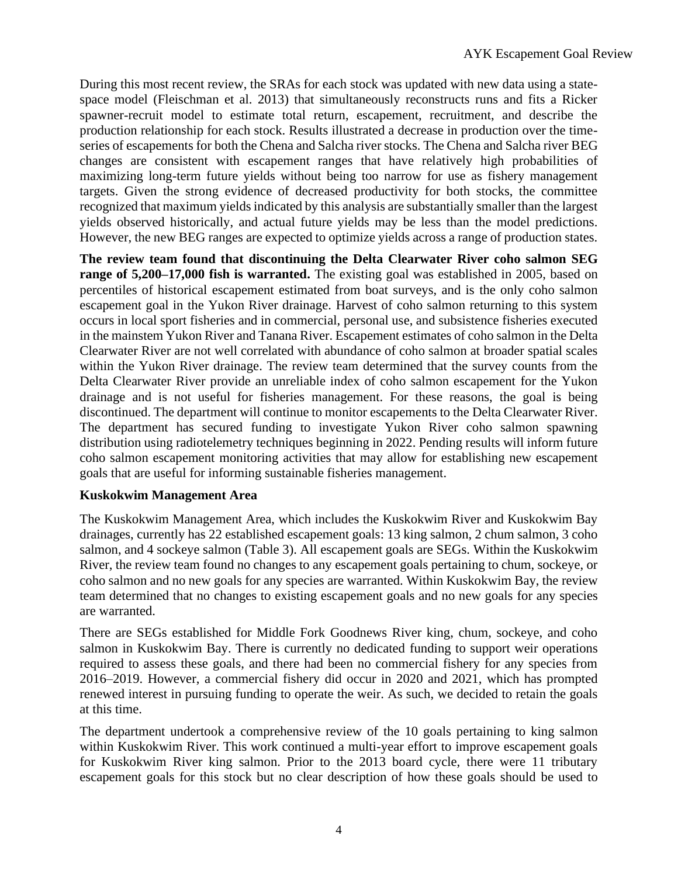During this most recent review, the SRAs for each stock was updated with new data using a statespace model (Fleischman et al. 2013) that simultaneously reconstructs runs and fits a Ricker spawner-recruit model to estimate total return, escapement, recruitment, and describe the production relationship for each stock. Results illustrated a decrease in production over the timeseries of escapements for both the Chena and Salcha river stocks. The Chena and Salcha river BEG changes are consistent with escapement ranges that have relatively high probabilities of maximizing long-term future yields without being too narrow for use as fishery management targets. Given the strong evidence of decreased productivity for both stocks, the committee recognized that maximum yields indicated by this analysis are substantially smaller than the largest yields observed historically, and actual future yields may be less than the model predictions. However, the new BEG ranges are expected to optimize yields across a range of production states.

**The review team found that discontinuing the Delta Clearwater River coho salmon SEG range of 5,200–17,000 fish is warranted.** The existing goal was established in 2005, based on percentiles of historical escapement estimated from boat surveys, and is the only coho salmon escapement goal in the Yukon River drainage. Harvest of coho salmon returning to this system occurs in local sport fisheries and in commercial, personal use, and subsistence fisheries executed in the mainstem Yukon River and Tanana River. Escapement estimates of coho salmon in the Delta Clearwater River are not well correlated with abundance of coho salmon at broader spatial scales within the Yukon River drainage. The review team determined that the survey counts from the Delta Clearwater River provide an unreliable index of coho salmon escapement for the Yukon drainage and is not useful for fisheries management. For these reasons, the goal is being discontinued. The department will continue to monitor escapements to the Delta Clearwater River. The department has secured funding to investigate Yukon River coho salmon spawning distribution using radiotelemetry techniques beginning in 2022. Pending results will inform future coho salmon escapement monitoring activities that may allow for establishing new escapement goals that are useful for informing sustainable fisheries management.

#### **Kuskokwim Management Area**

The Kuskokwim Management Area, which includes the Kuskokwim River and Kuskokwim Bay drainages, currently has 22 established escapement goals: 13 king salmon, 2 chum salmon, 3 coho salmon, and 4 sockeye salmon (Table 3). All escapement goals are SEGs. Within the Kuskokwim River, the review team found no changes to any escapement goals pertaining to chum, sockeye, or coho salmon and no new goals for any species are warranted. Within Kuskokwim Bay, the review team determined that no changes to existing escapement goals and no new goals for any species are warranted.

There are SEGs established for Middle Fork Goodnews River king, chum, sockeye, and coho salmon in Kuskokwim Bay. There is currently no dedicated funding to support weir operations required to assess these goals, and there had been no commercial fishery for any species from 2016–2019. However, a commercial fishery did occur in 2020 and 2021, which has prompted renewed interest in pursuing funding to operate the weir. As such, we decided to retain the goals at this time.

The department undertook a comprehensive review of the 10 goals pertaining to king salmon within Kuskokwim River. This work continued a multi-year effort to improve escapement goals for Kuskokwim River king salmon. Prior to the 2013 board cycle, there were 11 tributary escapement goals for this stock but no clear description of how these goals should be used to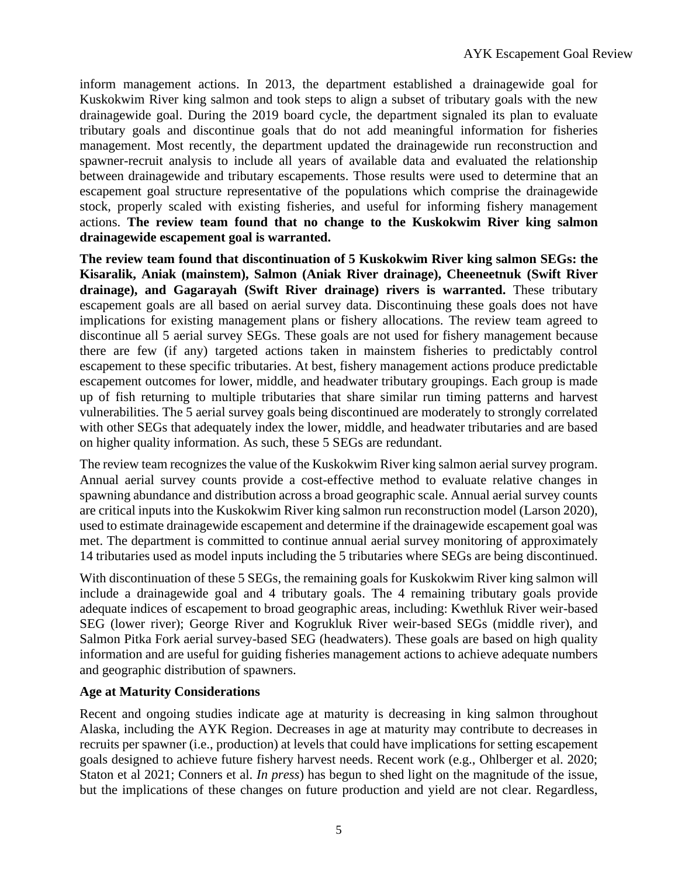inform management actions. In 2013, the department established a drainagewide goal for Kuskokwim River king salmon and took steps to align a subset of tributary goals with the new drainagewide goal. During the 2019 board cycle, the department signaled its plan to evaluate tributary goals and discontinue goals that do not add meaningful information for fisheries management. Most recently, the department updated the drainagewide run reconstruction and spawner-recruit analysis to include all years of available data and evaluated the relationship between drainagewide and tributary escapements. Those results were used to determine that an escapement goal structure representative of the populations which comprise the drainagewide stock, properly scaled with existing fisheries, and useful for informing fishery management actions. **The review team found that no change to the Kuskokwim River king salmon drainagewide escapement goal is warranted.**

**The review team found that discontinuation of 5 Kuskokwim River king salmon SEGs: the Kisaralik, Aniak (mainstem), Salmon (Aniak River drainage), Cheeneetnuk (Swift River drainage), and Gagarayah (Swift River drainage) rivers is warranted.** These tributary escapement goals are all based on aerial survey data. Discontinuing these goals does not have implications for existing management plans or fishery allocations. The review team agreed to discontinue all 5 aerial survey SEGs. These goals are not used for fishery management because there are few (if any) targeted actions taken in mainstem fisheries to predictably control escapement to these specific tributaries. At best, fishery management actions produce predictable escapement outcomes for lower, middle, and headwater tributary groupings. Each group is made up of fish returning to multiple tributaries that share similar run timing patterns and harvest vulnerabilities. The 5 aerial survey goals being discontinued are moderately to strongly correlated with other SEGs that adequately index the lower, middle, and headwater tributaries and are based on higher quality information. As such, these 5 SEGs are redundant.

The review team recognizes the value of the Kuskokwim River king salmon aerial survey program. Annual aerial survey counts provide a cost-effective method to evaluate relative changes in spawning abundance and distribution across a broad geographic scale. Annual aerial survey counts are critical inputs into the Kuskokwim River king salmon run reconstruction model (Larson 2020), used to estimate drainagewide escapement and determine if the drainagewide escapement goal was met. The department is committed to continue annual aerial survey monitoring of approximately 14 tributaries used as model inputs including the 5 tributaries where SEGs are being discontinued.

With discontinuation of these 5 SEGs, the remaining goals for Kuskokwim River king salmon will include a drainagewide goal and 4 tributary goals. The 4 remaining tributary goals provide adequate indices of escapement to broad geographic areas, including: Kwethluk River weir-based SEG (lower river); George River and Kogrukluk River weir-based SEGs (middle river), and Salmon Pitka Fork aerial survey-based SEG (headwaters). These goals are based on high quality information and are useful for guiding fisheries management actions to achieve adequate numbers and geographic distribution of spawners.

#### **Age at Maturity Considerations**

Recent and ongoing studies indicate age at maturity is decreasing in king salmon throughout Alaska, including the AYK Region. Decreases in age at maturity may contribute to decreases in recruits per spawner (i.e., production) at levels that could have implications for setting escapement goals designed to achieve future fishery harvest needs. Recent work (e.g., Ohlberger et al. 2020; Staton et al 2021; Conners et al. *In press*) has begun to shed light on the magnitude of the issue, but the implications of these changes on future production and yield are not clear. Regardless,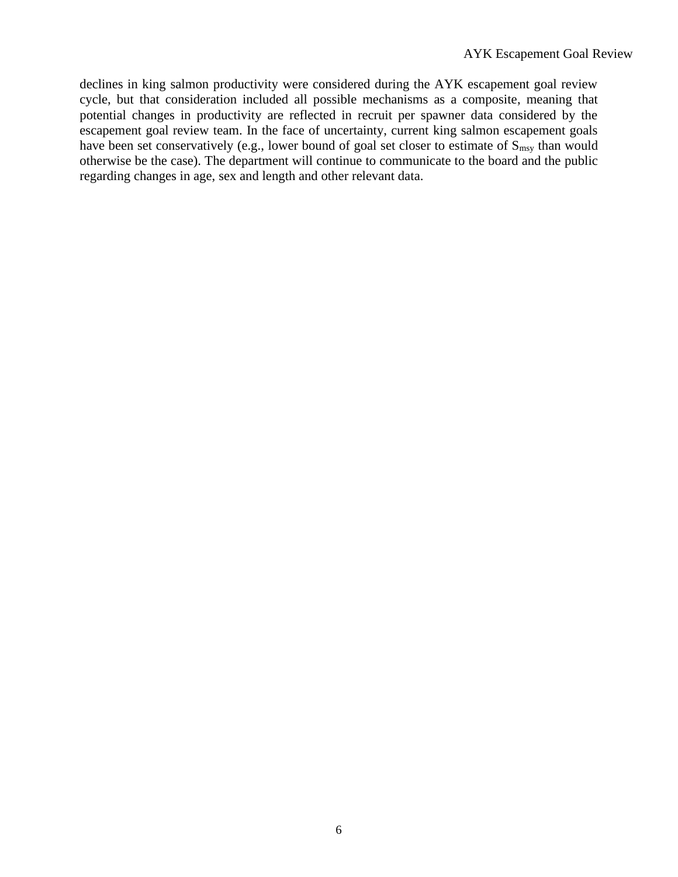declines in king salmon productivity were considered during the AYK escapement goal review cycle, but that consideration included all possible mechanisms as a composite, meaning that potential changes in productivity are reflected in recruit per spawner data considered by the escapement goal review team. In the face of uncertainty, current king salmon escapement goals have been set conservatively (e.g., lower bound of goal set closer to estimate of S<sub>msy</sub> than would otherwise be the case). The department will continue to communicate to the board and the public regarding changes in age, sex and length and other relevant data.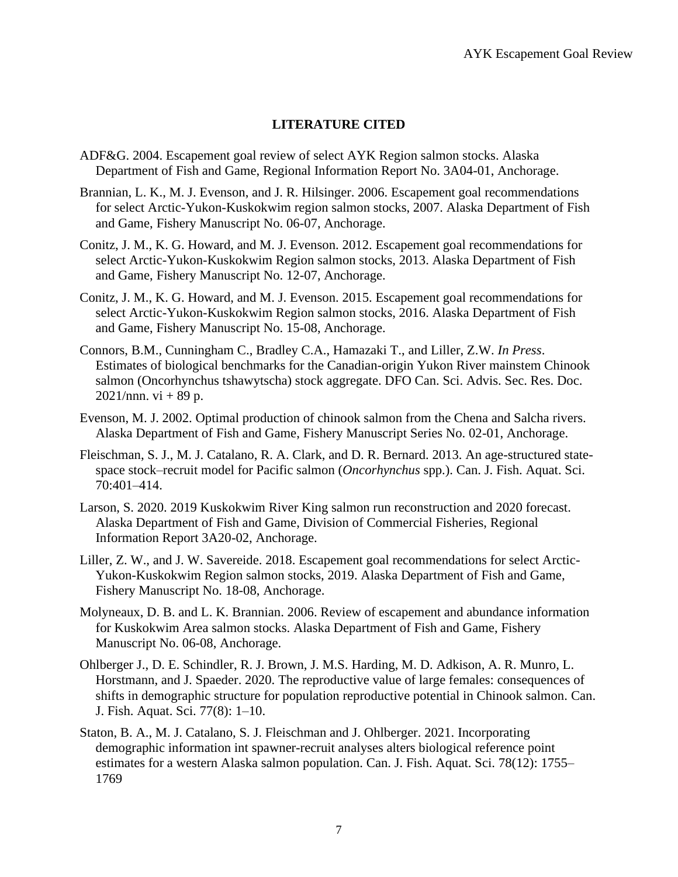## **LITERATURE CITED**

- ADF&G. 2004. Escapement goal review of select AYK Region salmon stocks. Alaska Department of Fish and Game, Regional Information Report No. 3A04-01, Anchorage.
- Brannian, L. K., M. J. Evenson, and J. R. Hilsinger. 2006. Escapement goal recommendations for select Arctic-Yukon-Kuskokwim region salmon stocks, 2007. Alaska Department of Fish and Game, Fishery Manuscript No. 06-07, Anchorage.
- Conitz, J. M., K. G. Howard, and M. J. Evenson. 2012. Escapement goal recommendations for select Arctic-Yukon-Kuskokwim Region salmon stocks, 2013. Alaska Department of Fish and Game, Fishery Manuscript No. 12-07, Anchorage.
- Conitz, J. M., K. G. Howard, and M. J. Evenson. 2015. Escapement goal recommendations for select Arctic-Yukon-Kuskokwim Region salmon stocks, 2016. Alaska Department of Fish and Game, Fishery Manuscript No. 15-08, Anchorage.
- Connors, B.M., Cunningham C., Bradley C.A., Hamazaki T., and Liller, Z.W. *In Press*. Estimates of biological benchmarks for the Canadian-origin Yukon River mainstem Chinook salmon (Oncorhynchus tshawytscha) stock aggregate. DFO Can. Sci. Advis. Sec. Res. Doc. 2021/nnn. vi + 89 p.
- Evenson, M. J. 2002. Optimal production of chinook salmon from the Chena and Salcha rivers. Alaska Department of Fish and Game, Fishery Manuscript Series No. 02-01, Anchorage.
- Fleischman, S. J., M. J. Catalano, R. A. Clark, and D. R. Bernard. 2013. An age-structured statespace stock–recruit model for Pacific salmon (*Oncorhynchus* spp.). Can. J. Fish. Aquat. Sci. 70:401–414.
- Larson, S. 2020. 2019 Kuskokwim River King salmon run reconstruction and 2020 forecast. Alaska Department of Fish and Game, Division of Commercial Fisheries, Regional Information Report 3A20-02, Anchorage.
- Liller, Z. W., and J. W. Savereide. 2018. Escapement goal recommendations for select Arctic-Yukon-Kuskokwim Region salmon stocks, 2019. Alaska Department of Fish and Game, Fishery Manuscript No. 18-08, Anchorage.
- Molyneaux, D. B. and L. K. Brannian. 2006. Review of escapement and abundance information for Kuskokwim Area salmon stocks. Alaska Department of Fish and Game, Fishery Manuscript No. 06-08, Anchorage.
- Ohlberger J., D. E. Schindler, R. J. Brown, J. M.S. Harding, M. D. Adkison, A. R. Munro, L. Horstmann, and J. Spaeder. 2020. The reproductive value of large females: consequences of shifts in demographic structure for population reproductive potential in Chinook salmon. Can. J. Fish. Aquat. Sci. 77(8): 1–10.
- Staton, B. A., M. J. Catalano, S. J. Fleischman and J. Ohlberger. 2021. Incorporating demographic information int spawner-recruit analyses alters biological reference point estimates for a western Alaska salmon population. Can. J. Fish. Aquat. Sci. 78(12): 1755– 1769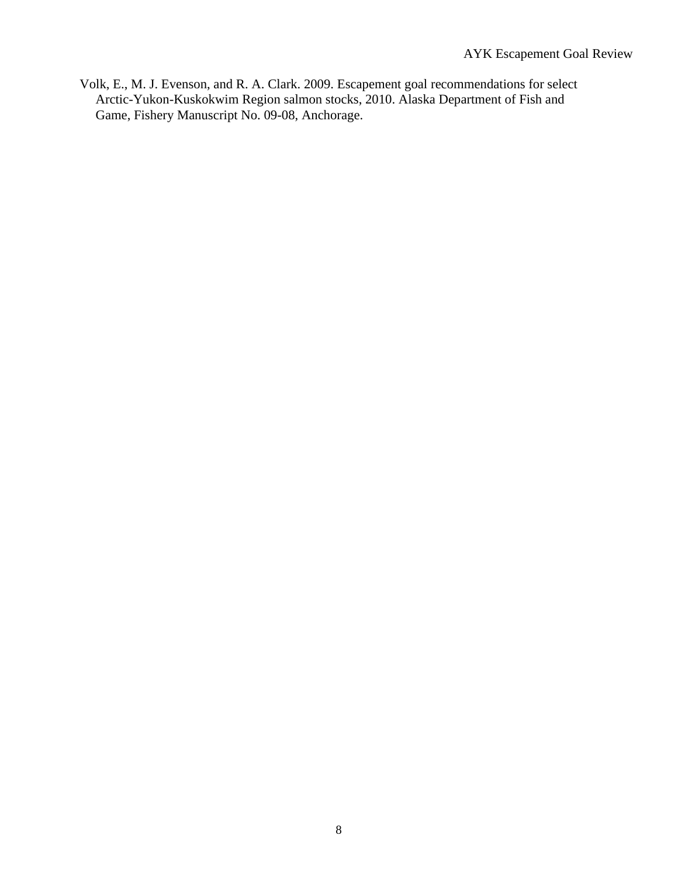Volk, E., M. J. Evenson, and R. A. Clark. 2009. Escapement goal recommendations for select Arctic-Yukon-Kuskokwim Region salmon stocks, 2010. Alaska Department of Fish and Game, Fishery Manuscript No. 09-08, Anchorage.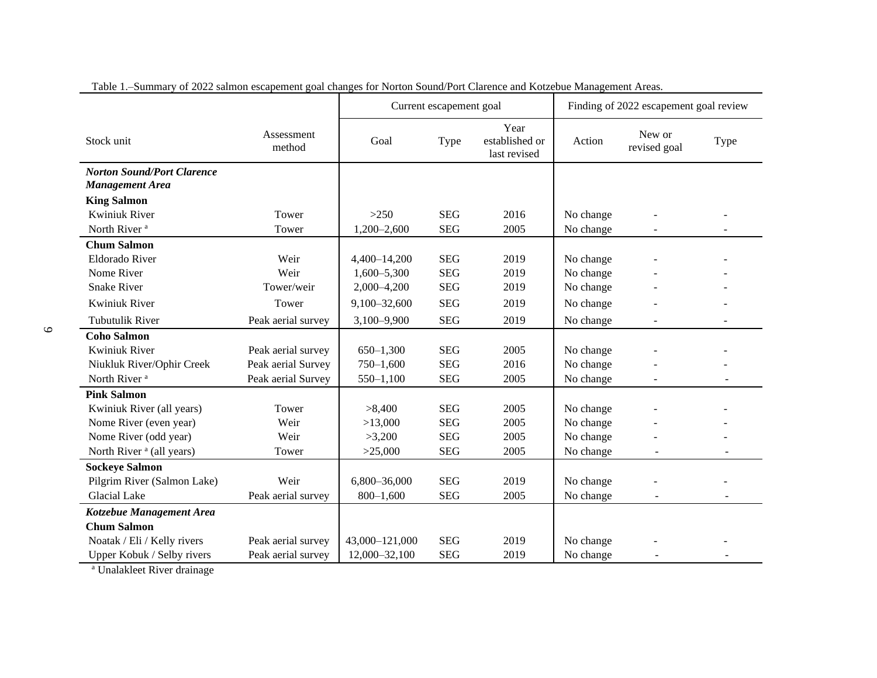|                                      |                      | Current escapement goal |            |                                        | Finding of 2022 escapement goal review |                        |      |
|--------------------------------------|----------------------|-------------------------|------------|----------------------------------------|----------------------------------------|------------------------|------|
| Stock unit                           | Assessment<br>method | Goal                    | Type       | Year<br>established or<br>last revised | Action                                 | New or<br>revised goal | Type |
| <b>Norton Sound/Port Clarence</b>    |                      |                         |            |                                        |                                        |                        |      |
| <b>Management Area</b>               |                      |                         |            |                                        |                                        |                        |      |
| <b>King Salmon</b>                   |                      |                         |            |                                        |                                        |                        |      |
| Kwiniuk River                        | Tower                | >250                    | <b>SEG</b> | 2016                                   | No change                              |                        |      |
| North River <sup>a</sup>             | Tower                | 1,200-2,600             | <b>SEG</b> | 2005                                   | No change                              |                        |      |
| <b>Chum Salmon</b>                   |                      |                         |            |                                        |                                        |                        |      |
| Eldorado River                       | Weir                 | 4,400-14,200            | <b>SEG</b> | 2019                                   | No change                              |                        |      |
| Nome River                           | Weir                 | 1,600-5,300             | <b>SEG</b> | 2019                                   | No change                              |                        |      |
| <b>Snake River</b>                   | Tower/weir           | 2,000-4,200             | <b>SEG</b> | 2019                                   | No change                              |                        |      |
| <b>Kwiniuk River</b>                 | Tower                | 9,100-32,600            | <b>SEG</b> | 2019                                   | No change                              |                        |      |
| <b>Tubutulik River</b>               | Peak aerial survey   | 3,100-9,900             | <b>SEG</b> | 2019                                   | No change                              |                        |      |
| <b>Coho Salmon</b>                   |                      |                         |            |                                        |                                        |                        |      |
| Kwiniuk River                        | Peak aerial survey   | $650 - 1,300$           | <b>SEG</b> | 2005                                   | No change                              |                        |      |
| Niukluk River/Ophir Creek            | Peak aerial Survey   | 750-1,600               | <b>SEG</b> | 2016                                   | No change                              |                        |      |
| North River <sup>a</sup>             | Peak aerial Survey   | $550 - 1,100$           | <b>SEG</b> | 2005                                   | No change                              |                        |      |
| <b>Pink Salmon</b>                   |                      |                         |            |                                        |                                        |                        |      |
| Kwiniuk River (all years)            | Tower                | >8,400                  | <b>SEG</b> | 2005                                   | No change                              |                        |      |
| Nome River (even year)               | Weir                 | >13,000                 | <b>SEG</b> | 2005                                   | No change                              |                        |      |
| Nome River (odd year)                | Weir                 | >3,200                  | <b>SEG</b> | 2005                                   | No change                              |                        |      |
| North River <sup>a</sup> (all years) | Tower                | >25,000                 | <b>SEG</b> | 2005                                   | No change                              |                        |      |
| <b>Sockeye Salmon</b>                |                      |                         |            |                                        |                                        |                        |      |
| Pilgrim River (Salmon Lake)          | Weir                 | 6,800-36,000            | <b>SEG</b> | 2019                                   | No change                              |                        |      |
| <b>Glacial Lake</b>                  | Peak aerial survey   | $800 - 1,600$           | <b>SEG</b> | 2005                                   | No change                              |                        |      |
| Kotzebue Management Area             |                      |                         |            |                                        |                                        |                        |      |
| <b>Chum Salmon</b>                   |                      |                         |            |                                        |                                        |                        |      |
| Noatak / Eli / Kelly rivers          | Peak aerial survey   | 43,000-121,000          | <b>SEG</b> | 2019                                   | No change                              |                        |      |
| Upper Kobuk / Selby rivers           | Peak aerial survey   | 12,000-32,100           | <b>SEG</b> | 2019                                   | No change                              |                        |      |

Table 1.–Summary of 2022 salmon escapement goal changes for Norton Sound/Port Clarence and Kotzebue Management Areas.

<sup>a</sup> Unalakleet River drainage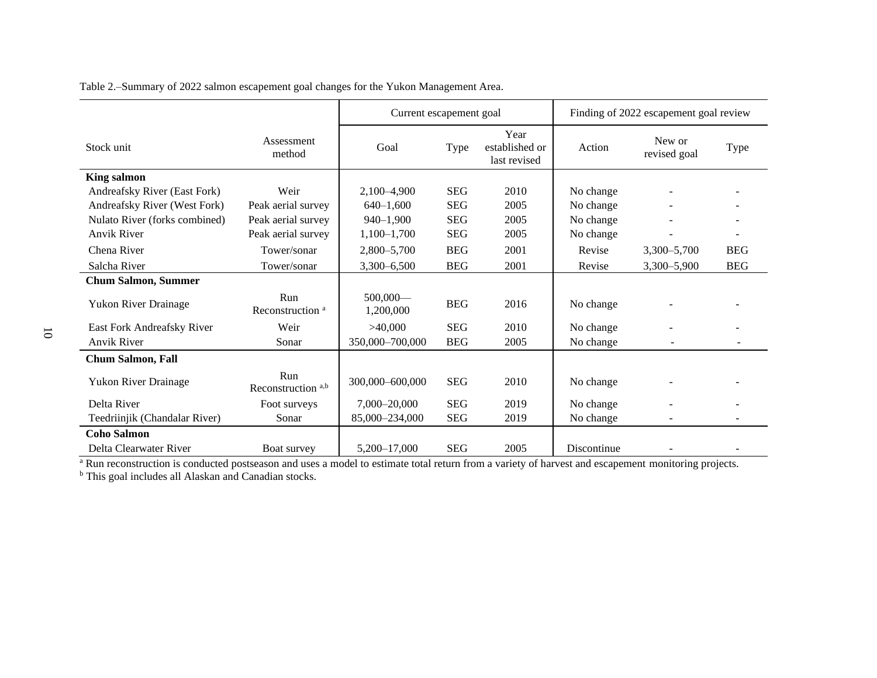Table 2.–Summary of 2022 salmon escapement goal changes for the Yukon Management Area.

|                               |                                      | Current escapement goal |            |                                        |             | Finding of 2022 escapement goal review |            |  |
|-------------------------------|--------------------------------------|-------------------------|------------|----------------------------------------|-------------|----------------------------------------|------------|--|
| Stock unit                    | Assessment<br>method                 | Goal                    | Type       | Year<br>established or<br>last revised | Action      | New or<br>revised goal                 | Type       |  |
| <b>King salmon</b>            |                                      |                         |            |                                        |             |                                        |            |  |
| Andreafsky River (East Fork)  | Weir                                 | 2,100-4,900             | <b>SEG</b> | 2010                                   | No change   |                                        |            |  |
| Andreafsky River (West Fork)  | Peak aerial survey                   | $640 - 1,600$           | <b>SEG</b> | 2005                                   | No change   |                                        |            |  |
| Nulato River (forks combined) | Peak aerial survey                   | $940 - 1.900$           | <b>SEG</b> | 2005                                   | No change   |                                        |            |  |
| Anvik River                   | Peak aerial survey                   | $1,100-1,700$           | <b>SEG</b> | 2005                                   | No change   |                                        |            |  |
| Chena River                   | Tower/sonar                          | 2,800-5,700             | <b>BEG</b> | 2001                                   | Revise      | $3,300 - 5,700$                        | <b>BEG</b> |  |
| Salcha River                  | Tower/sonar                          | 3,300-6,500             | <b>BEG</b> | 2001                                   | Revise      | 3,300-5,900                            | <b>BEG</b> |  |
| <b>Chum Salmon, Summer</b>    |                                      |                         |            |                                        |             |                                        |            |  |
| Yukon River Drainage          | Run<br>Reconstruction <sup>a</sup>   | $500,000-$<br>1,200,000 | <b>BEG</b> | 2016                                   | No change   |                                        |            |  |
| East Fork Andreafsky River    | Weir                                 | >40,000                 | <b>SEG</b> | 2010                                   | No change   |                                        |            |  |
| <b>Anvik River</b>            | Sonar                                | 350,000-700,000         | <b>BEG</b> | 2005                                   | No change   | $\overline{\phantom{a}}$               |            |  |
| <b>Chum Salmon, Fall</b>      |                                      |                         |            |                                        |             |                                        |            |  |
| Yukon River Drainage          | Run<br>Reconstruction <sup>a,b</sup> | 300,000-600,000         | <b>SEG</b> | 2010                                   | No change   |                                        |            |  |
| Delta River                   | Foot surveys                         | 7,000-20,000            | <b>SEG</b> | 2019                                   | No change   |                                        |            |  |
| Teedriinjik (Chandalar River) | Sonar                                | 85,000-234,000          | <b>SEG</b> | 2019                                   | No change   |                                        |            |  |
| <b>Coho Salmon</b>            |                                      |                         |            |                                        |             |                                        |            |  |
| Delta Clearwater River        | Boat survey                          | 5,200-17,000            | <b>SEG</b> | 2005                                   | Discontinue |                                        |            |  |

<sup>a</sup> Run reconstruction is conducted postseason and uses a model to estimate total return from a variety of harvest and escapement monitoring projects.

<sup>b</sup> This goal includes all Alaskan and Canadian stocks.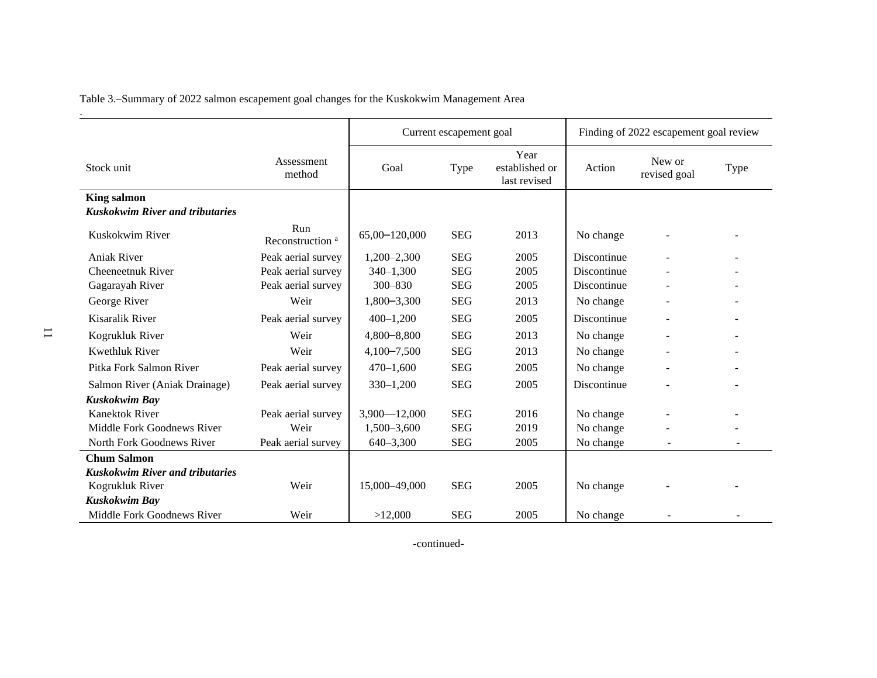Table 3.–Summary of 2022 salmon escapement goal changes for the Kuskokwim Management Area

|                                        |                                    | Current escapement goal |            |                                        |             | Finding of 2022 escapement goal review |      |  |
|----------------------------------------|------------------------------------|-------------------------|------------|----------------------------------------|-------------|----------------------------------------|------|--|
| Stock unit                             | Assessment<br>method               | Goal                    | Type       | Year<br>established or<br>last revised | Action      | New or<br>revised goal                 | Type |  |
| <b>King salmon</b>                     |                                    |                         |            |                                        |             |                                        |      |  |
| <b>Kuskokwim River and tributaries</b> |                                    |                         |            |                                        |             |                                        |      |  |
| Kuskokwim River                        | Run<br>Reconstruction <sup>a</sup> | 65,00-120,000           | <b>SEG</b> | 2013                                   | No change   |                                        |      |  |
| Aniak River                            | Peak aerial survey                 | 1,200-2,300             | <b>SEG</b> | 2005                                   | Discontinue |                                        |      |  |
| Cheeneetnuk River                      | Peak aerial survey                 | $340 - 1,300$           | <b>SEG</b> | 2005                                   | Discontinue |                                        |      |  |
| Gagarayah River                        | Peak aerial survey                 | $300 - 830$             | <b>SEG</b> | 2005                                   | Discontinue |                                        |      |  |
| George River                           | Weir                               | 1,800-3,300             | <b>SEG</b> | 2013                                   | No change   |                                        |      |  |
| Kisaralik River                        | Peak aerial survey                 | $400 - 1,200$           | <b>SEG</b> | 2005                                   | Discontinue |                                        |      |  |
| Kogrukluk River                        | Weir                               | 4,800-8,800             | <b>SEG</b> | 2013                                   | No change   |                                        |      |  |
| Kwethluk River                         | Weir                               | $4,100 - 7,500$         | <b>SEG</b> | 2013                                   | No change   |                                        |      |  |
| Pitka Fork Salmon River                | Peak aerial survey                 | $470 - 1,600$           | <b>SEG</b> | 2005                                   | No change   |                                        |      |  |
| Salmon River (Aniak Drainage)          | Peak aerial survey                 | $330 - 1,200$           | <b>SEG</b> | 2005                                   | Discontinue |                                        |      |  |
| <b>Kuskokwim Bay</b>                   |                                    |                         |            |                                        |             |                                        |      |  |
| <b>Kanektok River</b>                  | Peak aerial survey                 | $3,900 - 12,000$        | <b>SEG</b> | 2016                                   | No change   |                                        |      |  |
| Middle Fork Goodnews River             | Weir                               | 1,500-3,600             | <b>SEG</b> | 2019                                   | No change   |                                        |      |  |
| North Fork Goodnews River              | Peak aerial survey                 | $640 - 3,300$           | <b>SEG</b> | 2005                                   | No change   | $\sim$                                 |      |  |
| <b>Chum Salmon</b>                     |                                    |                         |            |                                        |             |                                        |      |  |
| <b>Kuskokwim River and tributaries</b> |                                    |                         |            |                                        |             |                                        |      |  |
| Kogrukluk River                        | Weir                               | 15,000-49,000           | <b>SEG</b> | 2005                                   | No change   |                                        |      |  |
| <b>Kuskokwim Bay</b>                   |                                    |                         |            |                                        |             |                                        |      |  |
| Middle Fork Goodnews River             | Weir                               | >12,000                 | <b>SEG</b> | 2005                                   | No change   |                                        |      |  |

-continued-